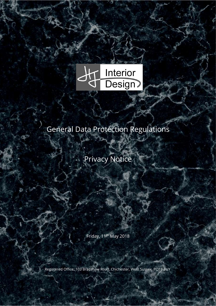

SAS.

# General Data Protection Regulations

Privacy Notice

Friday, 11th May 2018

Registered Office: 103 Bradshaw Road, Chichester, West Sussex, PO19 6UY.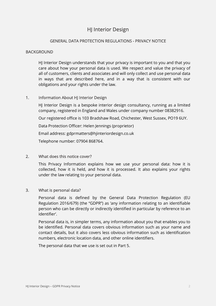# **H** Interior Design

# GENERAL DATA PROTECTION REGULATIONS - PRIVACY NOTICE

#### **BACKGROUND**

 HJ Interior Design understands that your privacy is important to you and that you care about how your personal data is used. We respect and value the privacy of all of customers, clients and associates and will only collect and use personal data in ways that are described here, and in a way that is consistent with our obligations and your rights under the law.

## 1. Information About HJ Interior Design

HJ Interior Design is a bespoke interior design consultancy, running as a limited company, registered in England and Wales under company number 08382916.

Our registered office is 103 Bradshaw Road, Chichester, West Sussex, PO19 6UY.

Data Protection Officer: Helen Jennings (proprietor)

Email address: gdprmatters@hjinteriordesign.co.uk

Telephone number: 07904 868764.

## 2. What does this notice cover?

This Privacy Information explains how we use your personal data: how it is collected, how it is held, and how it is processed. It also explains your rights under the law relating to your personal data.

#### 3. What is personal data?

Personal data is defined by the General Data Protection Regulation (EU Regulation 2016/679) (the "GDPR") as 'any information relating to an identifiable person who can be directly or indirectly identified in particular by reference to an identifier'.

Personal data is, in simpler terms, any information about you that enables you to be identified. Personal data covers obvious information such as your name and contact details, but it also covers less obvious information such as identification numbers, electronic location data, and other online identifiers.

The personal data that we use is set out in Part 5.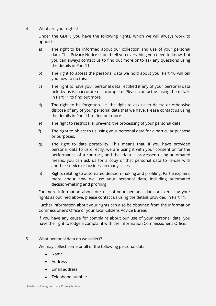# 4. What are your rights?

Under the GDPR, you have the following rights, which we will always work to uphold:

- a) The right to be informed about our collection and use of your personal data. This Privacy Notice should tell you everything you need to know, but you can always contact us to find out more or to ask any questions using the details in Part 11.
- b) The right to access the personal data we hold about you. Part 10 will tell you how to do this.
- c) The right to have your personal data rectified if any of your personal data held by us is inaccurate or incomplete. Please contact us using the details in Part 11 to find out more.
- d) The right to be forgotten, i.e. the right to ask us to delete or otherwise dispose of any of your personal data that we have. Please contact us using the details in Part 11 to find out more.
- e) The right to restrict (i.e. prevent) the processing of your personal data.
- f) The right to object to us using your personal data for a particular purpose or purposes.
- g) The right to data portability. This means that, if you have provided personal data to us directly, we are using it with your consent or for the performance of a contract, and that data is processed using automated means, you can ask us for a copy of that personal data to re-use with another service or business in many cases.
- h) Rights relating to automated decision-making and profiling. Part 6 explains more about how we use your personal data, including automated decision-making and profiling.

For more information about our use of your personal data or exercising your rights as outlined above, please contact us using the details provided in Part 11.

Further information about your rights can also be obtained from the Information Commissioner's Office or your local Citizens Advice Bureau.

If you have any cause for complaint about our use of your personal data, you have the right to lodge a complaint with the Information Commissioner's Office.

## 5. What personal data do we collect?

We may collect some or all of the following personal data:

- Name
- Address
- Email address
- Telephone number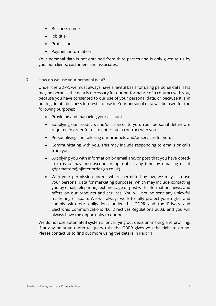- Business name
- Iob title
- Profession
- Payment information

Your personal data is not obtained from third parties and is only given to us by you, our clients, customers and associates.

## 6. How do we use your personal data?

Under the GDPR, we must always have a lawful basis for using personal data. This may be because the data is necessary for our performance of a contract with you, because you have consented to our use of your personal data, or because it is in our legitimate business interests to use it. Your personal data will be used for the following purposes:

- Providing and managing your account.
- Supplying our products and/or services to you. Your personal details are required in order for us to enter into a contract with you.
- Personalising and tailoring our products and/or services for you.
- Communicating with you. This may include responding to emails or calls from you.
- Supplying you with information by email and/or post that you have optedin to (you may unsubscribe or opt-out at any time by emailing us at gdprmatters@hjinteriordesign.co.uk).
- With your permission and/or where permitted by law, we may also use your personal data for marketing purposes, which may include contacting you by email, telephone, text message or post with information, news, and offers on our products and services. You will not be sent any unlawful marketing or spam. We will always work to fully protect your rights and comply with our obligations under the GDPR and the Privacy and Electronic Communications (EC Directive) Regulations 2003, and you will always have the opportunity to opt-out.

We do not use automated systems for carrying out decision-making and profiling. If at any point you wish to query this, the GDPR gives you the right to do so. Please contact us to find out more using the details in Part 11.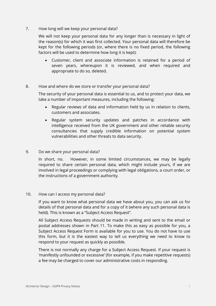# 7. How long will we keep your personal data?

We will not keep your personal data for any longer than is necessary in light of the reason(s) for which it was first collected. Your personal data will therefore be kept for the following periods (or, where there is no fixed period, the following factors will be used to determine how long it is kept):

 Customer, client and associate information is retained for a period of seven years, whereupon it is reviewed, and when required and appropriate to do so, deleted.

## 8. How and where do we store or transfer your personal data?

The security of your personal data is essential to us, and to protect your data, we take a number of important measures, including the following:

- Regular reviews of data and information held by us in relation to clients, customers and associates.
- Regular system security updates and patches in accordance with intelligence received from the UK government and other reliable security consultancies that supply credible information on potential system vulnerabilities and other threats to data security.

#### 9. Do we share your personal data?

In short, no. However, in some limited circumstances, we may be legally required to share certain personal data, which might include yours, if we are involved in legal proceedings or complying with legal obligations, a court order, or the instructions of a government authority.

#### 10. How can I access my personal data?

If you want to know what personal data we have about you, you can ask us for details of that personal data and for a copy of it (where any such personal data is held). This is known as a "Subject Access Request".

All Subject Access Requests should be made in writing and sent to the email or postal addresses shown in Part 11. To make this as easy as possible for you, a Subject Access Request Form is available for you to use. You do not have to use this form, but it is the easiest way to tell us everything we need to know to respond to your request as quickly as possible.

There is not normally any charge for a Subject Access Request. If your request is 'manifestly unfounded or excessive' (for example, if you make repetitive requests) a fee may be charged to cover our administrative costs in responding.